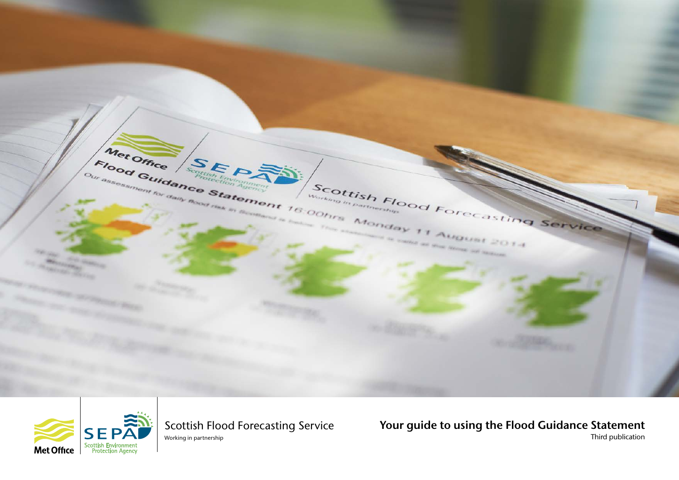



Scottish Flood Forecasting Service Working in partnership

Your guide to using the Flood Guidance Statement Third publication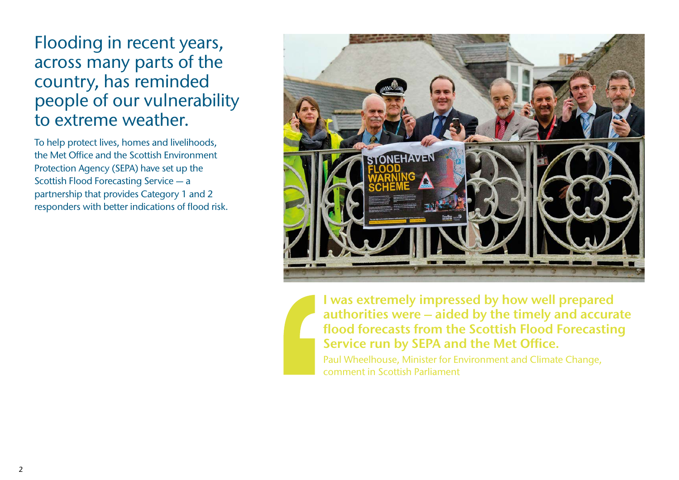Flooding in recent years, across many parts of the country, has reminded people of our vulnerability to extreme weather.

To help protect lives, homes and livelihoods, the Met Office and the Scottish Environment Protection Agency (SEPA) have set up the Scottish Flood Forecasting Service — a partnership that provides Category 1 and 2 responders with better indications of flood risk.



I was extremely impressed by how well prepared authorities were – aided by the timely and accurate flood forecasts from the Scottish Flood Forecasting Service run by SEPA and the Met Office.

Paul Wheelhouse, Minister for Environment and Climate Change, comment in Scottish Parliament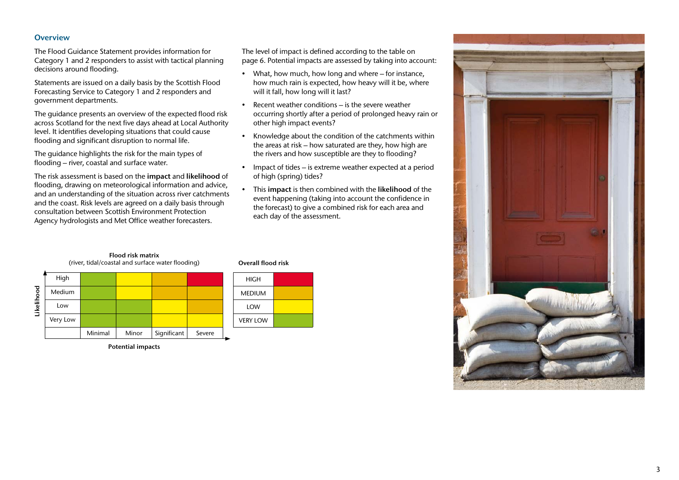# **Overview**

The Flood Guidance Statement provides information for Category 1 and 2 responders to assist with tactical planning decisions around flooding.

Statements are issued on a daily basis by the Scottish Flood Forecasting Service to Category 1 and 2 responders and government departments.

The guidance presents an overview of the expected flood risk across Scotland for the next five days ahead at Local Authority level. It identifies developing situations that could cause flooding and significant disruption to normal life.

The guidance highlights the risk for the main types of flooding – river, coastal and surface water.

The risk assessment is based on the impact and likelihood of flooding, drawing on meteorological information and advice, and an understanding of the situation across river catchments and the coast. Risk levels are agreed on a daily basis through consultation between Scottish Environment Protection Agency hydrologists and Met Office weather forecasters.

The level of impact is defined according to the table on page 6. Potential impacts are assessed by taking into account:

- What, how much, how long and where for instance, how much rain is expected, how heavy will it be, where will it fall, how long will it last?
- Recent weather conditions is the severe weather occurring shortly after a period of prolonged heavy rain or other high impact events?
- Knowledge about the condition of the catchments within the areas at risk – how saturated are they, how high are the rivers and how susceptible are they to flooding?
- Impact of tides is extreme weather expected at a period of high (spring) tides?
- This impact is then combined with the likelihood of the event happening (taking into account the confidence in the forecast) to give a combined risk for each area and each day of the assessment.







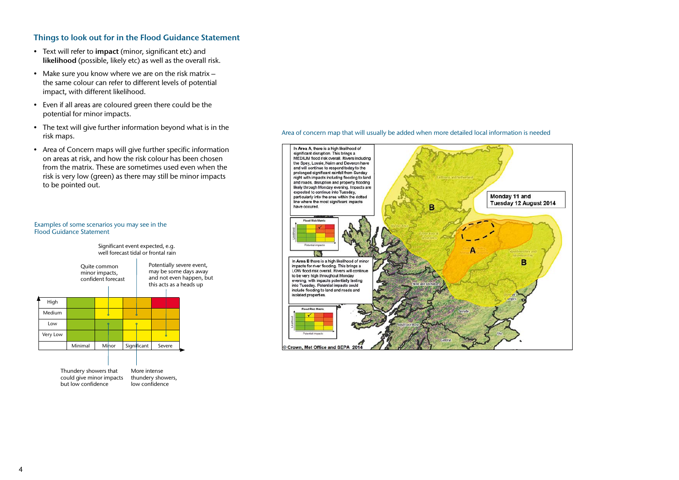# Things to look out for in the Flood Guidance Statement

- Text will refer to impact (minor, significant etc) and likelihood (possible, likely etc) as well as the overall risk.
- Make sure you know where we are on the risk matrix the same colour can refer to different levels of potential impact, with different likelihood.
- Even if all areas are coloured green there could be the potential for minor impacts.
- The text will give further information beyond what is in the risk maps.
- Area of Concern maps will give further specific information on areas at risk, and how the risk colour has been chosen from the matrix. These are sometimes used even when the risk is very low (green) as there may still be minor impacts to be pointed out.



Examples of some scenarios you may see in the

Flood Guidance Statement

| Thundery showers that    | M  |
|--------------------------|----|
| could give minor impacts | th |
| but low confidence       | lo |
|                          |    |

More intense nundery showers, w confidence

#### Area of concern map that will usually be added when more detailed local information is needed

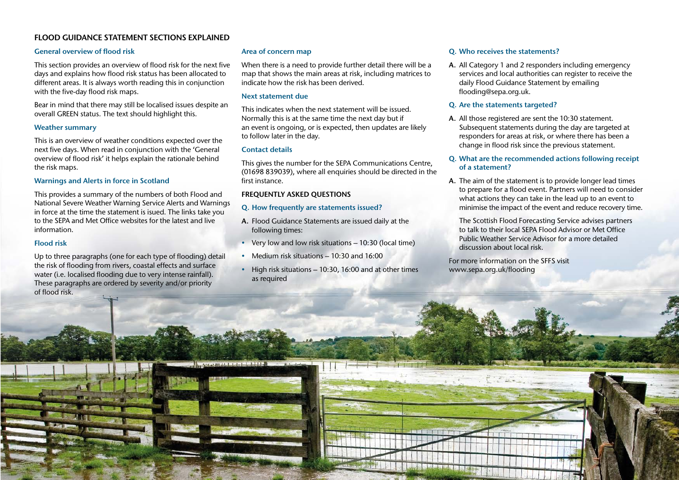# FLOOD GUIDANCE STATEMENT SECTIONS EXPLAINED

# General overview of flood risk

This section provides an overview of flood risk for the next five days and explains how flood risk status has been allocated to different areas. It is always worth reading this in conjunction with the five-day flood risk maps.

Bear in mind that there may still be localised issues despite an overall GREEN status. The text should highlight this.

# Weather summary

This is an overview of weather conditions expected over the next five days. When read in conjunction with the 'General overview of flood risk' it helps explain the rationale behind the risk maps.

#### Warnings and Alerts in force in Scotland

This provides a summary of the numbers of both Flood and National Severe Weather Warning Service Alerts and Warnings in force at the time the statement is isued. The links take you to the SEPA and Met Office websites for the latest and live information.

#### Flood risk

Up to three paragraphs (one for each type of flooding) detail the risk of flooding from rivers, coastal effects and surface water (i.e. localised flooding due to very intense rainfall). These paragraphs are ordered by severity and/or priority of flood risk.

# Area of concern map

When there is a need to provide further detail there will be a map that shows the main areas at risk, including matrices to indicate how the risk has been derived.

#### Next statement due

This indicates when the next statement will be issued. Normally this is at the same time the next day but if an event is ongoing, or is expected, then updates are likely to follow later in the day.

# Contact details

This gives the number for the SEPA Communications Centre, (01698 839039), where all enquiries should be directed in the first instance.

# FREQUENTLY ASKED QUESTIONS

#### Q. How frequently are statements issued?

- A. Flood Guidance Statements are issued daily at the following times:
- Very low and low risk situations 10:30 (local time)
- Medium risk situations 10:30 and 16:00
- High risk situations 10:30, 16:00 and at other times as required

# Q. Who receives the statements?

A. All Category 1 and 2 responders including emergency services and local authorities can register to receive the daily Flood Guidance Statement by emailing flooding@sepa.org.uk.

### Q. Are the statements targeted?

A. All those registered are sent the 10:30 statement. Subsequent statements during the day are targeted at responders for areas at risk, or where there has been a change in flood risk since the previous statement.

#### Q. What are the recommended actions following receipt of a statement?

A. The aim of the statement is to provide longer lead times to prepare for a flood event. Partners will need to consider what actions they can take in the lead up to an event to minimise the impact of the event and reduce recovery time.

The Scottish Flood Forecasting Service advises partners to talk to their local SEPA Flood Advisor or Met Office Public Weather Service Advisor for a more detailed discussion about local risk.

 $\hbar$ 

For more information on the SFFS visit www.sepa.org.uk/flooding

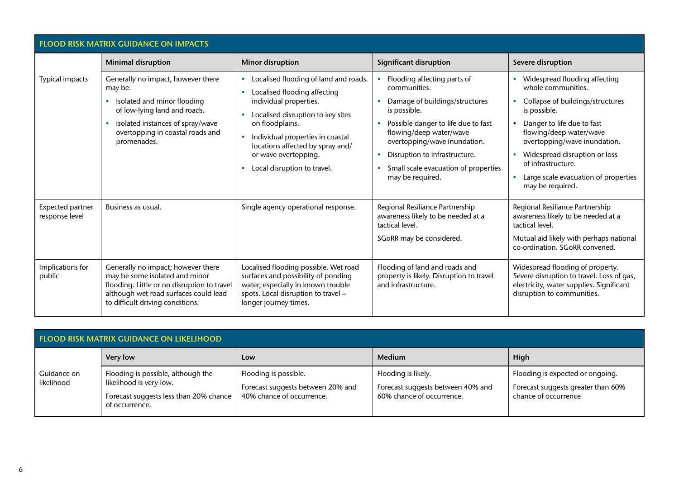| <b>FLOOD RISK MATRIX GUIDANCE ON IMPACTS</b> |                                                                                                                                                                                                     |                                                                                                                                                                                                                                                                                                                  |                                                                                                                                                                                                                                                                                              |                                                                                                                                                                                                                                                                                                                     |  |
|----------------------------------------------|-----------------------------------------------------------------------------------------------------------------------------------------------------------------------------------------------------|------------------------------------------------------------------------------------------------------------------------------------------------------------------------------------------------------------------------------------------------------------------------------------------------------------------|----------------------------------------------------------------------------------------------------------------------------------------------------------------------------------------------------------------------------------------------------------------------------------------------|---------------------------------------------------------------------------------------------------------------------------------------------------------------------------------------------------------------------------------------------------------------------------------------------------------------------|--|
|                                              | <b>Minimal disruption</b>                                                                                                                                                                           | <b>Minor disruption</b>                                                                                                                                                                                                                                                                                          | <b>Significant disruption</b>                                                                                                                                                                                                                                                                | Severe disruption                                                                                                                                                                                                                                                                                                   |  |
| Typical impacts                              | Generally no impact, however there<br>may be:<br>Isolated and minor flooding<br>of low-lying land and roads.<br>Isolated instances of spray/wave<br>overtopping in coastal roads and<br>promenades. | Localised flooding of land and roads.<br>Localised flooding affecting<br>individual properties.<br>Localised disruption to key sites<br>on floodplains.<br>Individual properties in coastal<br>$\bullet$<br>locations affected by spray and/<br>or wave overtopping.<br>Local disruption to travel.<br>$\bullet$ | Flooding affecting parts of<br>communities.<br>Damage of buildings/structures<br>is possible.<br>Possible danger to life due to fast<br>flowing/deep water/wave<br>overtopping/wave inundation.<br>Disruption to infrastructure.<br>Small scale evacuation of properties<br>may be required. | Widespread flooding affecting<br>whole communities.<br>Collapse of buildings/structures<br>is possible.<br>Danger to life due to fast<br>flowing/deep water/wave<br>overtopping/wave inundation.<br>Widespread disruption or loss<br>of infrastructure.<br>Large scale evacuation of properties<br>may be required. |  |
| Expected partner<br>response level           | Business as usual.                                                                                                                                                                                  | Single agency operational response.                                                                                                                                                                                                                                                                              | Regional Resiliance Partnership<br>awareness likely to be needed at a<br>tactical level.<br>SGoRR may be considered.                                                                                                                                                                         | Regional Resiliance Partnership<br>awareness likely to be needed at a<br>tactical level.<br>Mutual aid likely with perhaps national<br>co-ordination. SGoRR convened.                                                                                                                                               |  |
| Implications for<br>public                   | Generally no impact; however there<br>may be some isolated and minor<br>flooding. Little or no disruption to travel<br>although wet road surfaces could lead<br>to difficult driving conditions.    | Localised flooding possible. Wet road<br>surfaces and possibility of ponding<br>water, especially in known trouble<br>spots. Local disruption to travel -<br>longer journey times.                                                                                                                               | Flooding of land and roads and<br>property is likely. Disruption to travel<br>and infrastructure.                                                                                                                                                                                            | Widespread flooding of property.<br>Severe disruption to travel. Loss of gas,<br>electricity, water supplies. Significant<br>disruption to communities.                                                                                                                                                             |  |

| <b>FLOOD RISK MATRIX GUIDANCE ON LIKELIHOOD</b> |                                                                                                                           |                                                                                         |                                                                                       |                                                                                                |  |
|-------------------------------------------------|---------------------------------------------------------------------------------------------------------------------------|-----------------------------------------------------------------------------------------|---------------------------------------------------------------------------------------|------------------------------------------------------------------------------------------------|--|
|                                                 | <b>Very low</b>                                                                                                           | Low                                                                                     | <b>Medium</b>                                                                         | High                                                                                           |  |
| Guidance on<br>likelihood                       | Flooding is possible, although the<br>likelihood is very low.<br>Forecast suggests less than 20% chance<br>of occurrence. | Flooding is possible.<br>Forecast suggests between 20% and<br>40% chance of occurrence. | Flooding is likely.<br>Forecast suggests between 40% and<br>60% chance of occurrence. | Flooding is expected or ongoing.<br>Forecast suggests greater than 60%<br>chance of occurrence |  |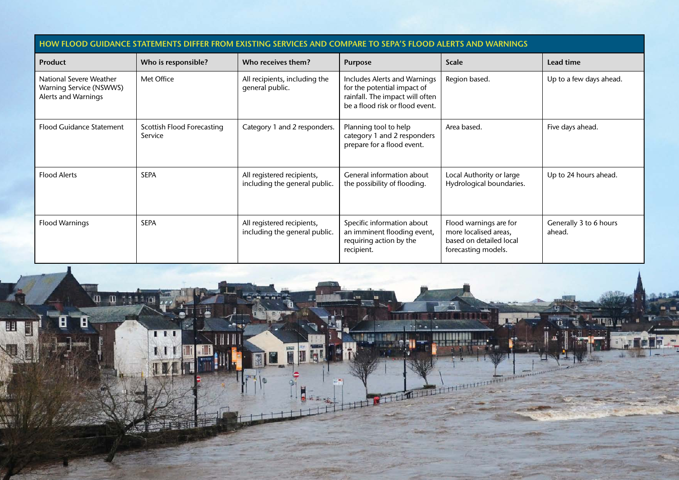| <b>HOW FLOOD GUIDANCE STATEMENTS DIFFER FROM EXIS</b><br>MPARE TO SEPA'S FLOOD ALERTS AND WARNINGS |                                       |                                                             |                                                                                                                                   |                                                                                                   |                                  |  |
|----------------------------------------------------------------------------------------------------|---------------------------------------|-------------------------------------------------------------|-----------------------------------------------------------------------------------------------------------------------------------|---------------------------------------------------------------------------------------------------|----------------------------------|--|
| <b>Product</b>                                                                                     | Who is responsible?                   | Who receives them?                                          | <b>Purpose</b>                                                                                                                    | <b>Scale</b>                                                                                      | Lead time                        |  |
| National Severe Weather<br>Warning Service (NSWWS)<br>Alerts and Warnings                          | Met Office                            | All recipients, including the<br>general public.            | Includes Alerts and Warnings<br>for the potential impact of<br>rainfall. The impact will often<br>be a flood risk or flood event. | Region based.                                                                                     | Up to a few days ahead.          |  |
| <b>Flood Guidance Statement</b>                                                                    | Scottish Flood Forecasting<br>Service | Category 1 and 2 responders.                                | Planning tool to help<br>category 1 and 2 responders<br>prepare for a flood event.                                                | Area based.                                                                                       | Five days ahead.                 |  |
| <b>Flood Alerts</b>                                                                                | <b>SEPA</b>                           | All registered recipients,<br>including the general public. | General information about<br>the possibility of flooding.                                                                         | Local Authority or large<br>Hydrological boundaries.                                              | Up to 24 hours ahead.            |  |
| <b>Flood Warnings</b>                                                                              | <b>SEPA</b>                           | All registered recipients,<br>including the general public. | Specific information about<br>an imminent flooding event,<br>requiring action by the<br>recipient.                                | Flood warnings are for<br>more localised areas,<br>based on detailed local<br>forecasting models. | Generally 3 to 6 hours<br>ahead. |  |